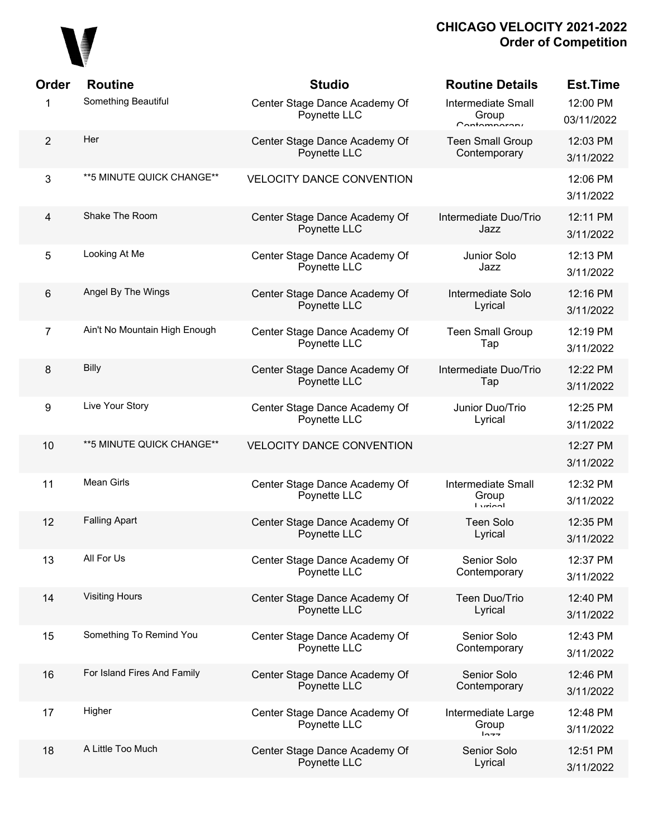

| Order          | <b>Routine</b>                | <b>Studio</b>                                 | <b>Routine Details</b>                                     | <b>Est.Time</b>        |
|----------------|-------------------------------|-----------------------------------------------|------------------------------------------------------------|------------------------|
| 1              | Something Beautiful           | Center Stage Dance Academy Of<br>Poynette LLC | <b>Intermediate Small</b><br>Group<br>$C$ ontomnoroni      | 12:00 PM<br>03/11/2022 |
| $\overline{2}$ | Her                           | Center Stage Dance Academy Of<br>Poynette LLC | <b>Teen Small Group</b><br>Contemporary                    | 12:03 PM<br>3/11/2022  |
| 3              | **5 MINUTE QUICK CHANGE**     | <b>VELOCITY DANCE CONVENTION</b>              |                                                            | 12:06 PM<br>3/11/2022  |
| $\overline{4}$ | Shake The Room                | Center Stage Dance Academy Of<br>Poynette LLC | Intermediate Duo/Trio<br>Jazz                              | 12:11 PM<br>3/11/2022  |
| 5              | Looking At Me                 | Center Stage Dance Academy Of<br>Poynette LLC | Junior Solo<br>Jazz                                        | 12:13 PM<br>3/11/2022  |
| 6              | Angel By The Wings            | Center Stage Dance Academy Of<br>Poynette LLC | Intermediate Solo<br>Lyrical                               | 12:16 PM<br>3/11/2022  |
| $\overline{7}$ | Ain't No Mountain High Enough | Center Stage Dance Academy Of<br>Poynette LLC | <b>Teen Small Group</b><br>Tap                             | 12:19 PM<br>3/11/2022  |
| 8              | Billy                         | Center Stage Dance Academy Of<br>Poynette LLC | Intermediate Duo/Trio<br>Tap                               | 12:22 PM<br>3/11/2022  |
| 9              | Live Your Story               | Center Stage Dance Academy Of<br>Poynette LLC | Junior Duo/Trio<br>Lyrical                                 | 12:25 PM<br>3/11/2022  |
| 10             | ** 5 MINUTE QUICK CHANGE**    | <b>VELOCITY DANCE CONVENTION</b>              |                                                            | 12:27 PM<br>3/11/2022  |
| 11             | <b>Mean Girls</b>             | Center Stage Dance Academy Of<br>Poynette LLC | <b>Intermediate Small</b><br>Group<br>$I \nmid \text{min}$ | 12:32 PM<br>3/11/2022  |
| 12             | <b>Falling Apart</b>          | Center Stage Dance Academy Of<br>Poynette LLC | <b>Teen Solo</b><br>Lyrical                                | 12:35 PM<br>3/11/2022  |
| 13             | All For Us                    | Center Stage Dance Academy Of<br>Poynette LLC | Senior Solo<br>Contemporary                                | 12:37 PM<br>3/11/2022  |
| 14             | <b>Visiting Hours</b>         | Center Stage Dance Academy Of<br>Poynette LLC | Teen Duo/Trio<br>Lyrical                                   | 12:40 PM<br>3/11/2022  |
| 15             | Something To Remind You       | Center Stage Dance Academy Of<br>Poynette LLC | Senior Solo<br>Contemporary                                | 12:43 PM<br>3/11/2022  |
| 16             | For Island Fires And Family   | Center Stage Dance Academy Of<br>Poynette LLC | Senior Solo<br>Contemporary                                | 12:46 PM<br>3/11/2022  |
| 17             | Higher                        | Center Stage Dance Academy Of<br>Poynette LLC | Intermediate Large<br>Group<br>$ln - -$                    | 12:48 PM<br>3/11/2022  |
| 18             | A Little Too Much             | Center Stage Dance Academy Of<br>Poynette LLC | Senior Solo<br>Lyrical                                     | 12:51 PM<br>3/11/2022  |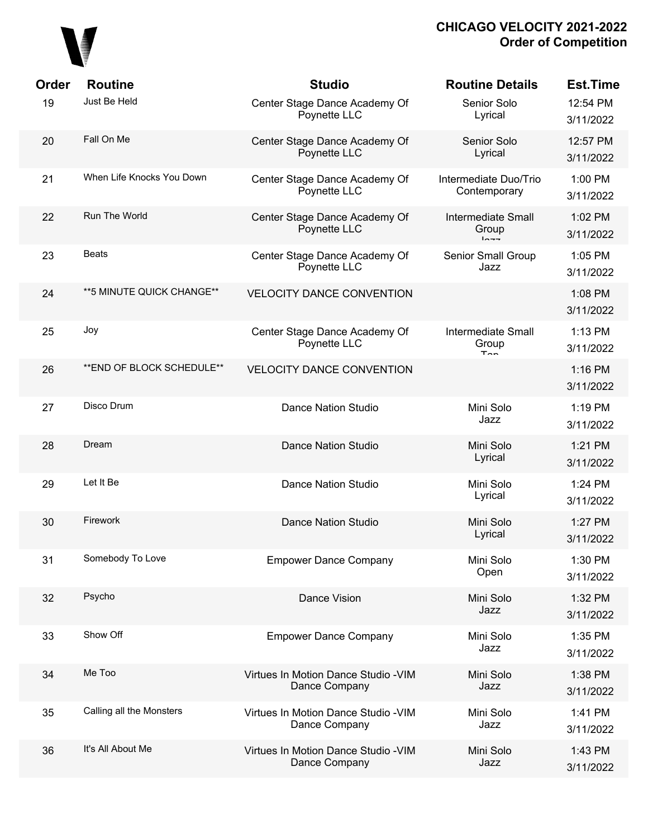

| Order | <b>Routine</b>             | <b>Studio</b>                                         | <b>Routine Details</b>                             | <b>Est.Time</b>       |
|-------|----------------------------|-------------------------------------------------------|----------------------------------------------------|-----------------------|
| 19    | Just Be Held               | Center Stage Dance Academy Of<br>Poynette LLC         | Senior Solo<br>Lyrical                             | 12:54 PM<br>3/11/2022 |
| 20    | Fall On Me                 | Center Stage Dance Academy Of<br>Poynette LLC         | Senior Solo<br>Lyrical                             | 12:57 PM<br>3/11/2022 |
| 21    | When Life Knocks You Down  | Center Stage Dance Academy Of<br>Poynette LLC         | Intermediate Duo/Trio<br>Contemporary              | 1:00 PM<br>3/11/2022  |
| 22    | Run The World              | Center Stage Dance Academy Of<br>Poynette LLC         | <b>Intermediate Small</b><br>Group<br>$ln - -$     | 1:02 PM<br>3/11/2022  |
| 23    | <b>Beats</b>               | Center Stage Dance Academy Of<br>Poynette LLC         | Senior Small Group<br>Jazz                         | 1:05 PM<br>3/11/2022  |
| 24    | **5 MINUTE QUICK CHANGE**  | <b>VELOCITY DANCE CONVENTION</b>                      |                                                    | 1:08 PM<br>3/11/2022  |
| 25    | Joy                        | Center Stage Dance Academy Of<br>Poynette LLC         | <b>Intermediate Small</b><br>Group<br>$T_{\Omega}$ | 1:13 PM<br>3/11/2022  |
| 26    | ** END OF BLOCK SCHEDULE** | <b>VELOCITY DANCE CONVENTION</b>                      |                                                    | 1:16 PM<br>3/11/2022  |
| 27    | Disco Drum                 | <b>Dance Nation Studio</b>                            | Mini Solo<br>Jazz                                  | 1:19 PM<br>3/11/2022  |
| 28    | Dream                      | <b>Dance Nation Studio</b>                            | Mini Solo<br>Lyrical                               | 1:21 PM<br>3/11/2022  |
| 29    | Let It Be                  | <b>Dance Nation Studio</b>                            | Mini Solo<br>Lyrical                               | 1:24 PM<br>3/11/2022  |
| 30    | Firework                   | <b>Dance Nation Studio</b>                            | Mini Solo<br>Lyrical                               | 1:27 PM<br>3/11/2022  |
| 31    | Somebody To Love           | <b>Empower Dance Company</b>                          | Mini Solo<br>Open                                  | 1:30 PM<br>3/11/2022  |
| 32    | Psycho                     | Dance Vision                                          | Mini Solo<br>Jazz                                  | 1:32 PM<br>3/11/2022  |
| 33    | Show Off                   | <b>Empower Dance Company</b>                          | Mini Solo<br>Jazz                                  | 1:35 PM<br>3/11/2022  |
| 34    | Me Too                     | Virtues In Motion Dance Studio - VIM<br>Dance Company | Mini Solo<br>Jazz                                  | 1:38 PM<br>3/11/2022  |
| 35    | Calling all the Monsters   | Virtues In Motion Dance Studio - VIM<br>Dance Company | Mini Solo<br>Jazz                                  | 1:41 PM<br>3/11/2022  |
| 36    | It's All About Me          | Virtues In Motion Dance Studio - VIM<br>Dance Company | Mini Solo<br>Jazz                                  | 1:43 PM<br>3/11/2022  |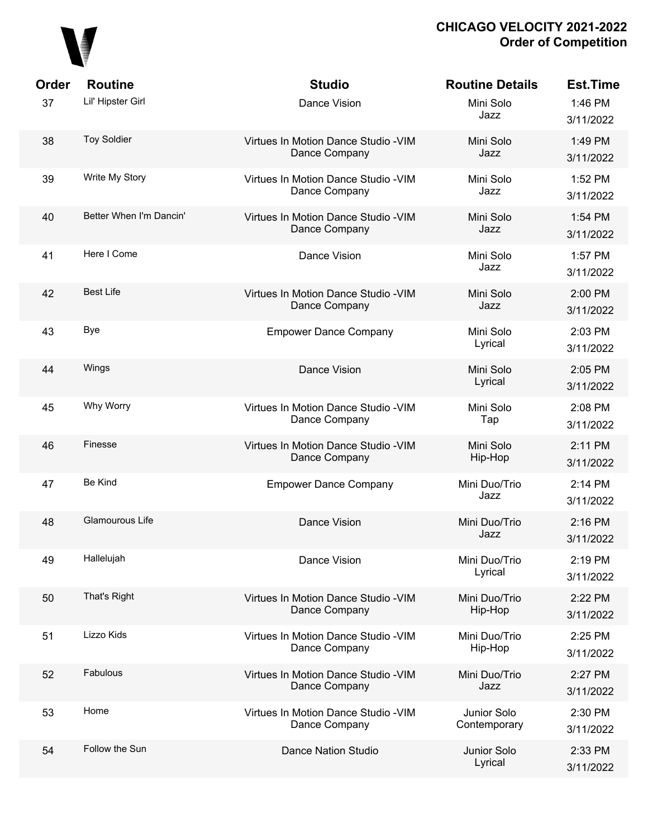

| Order | <b>Routine</b>          | <b>Studio</b>                                         | <b>Routine Details</b>      | Est.Time             |
|-------|-------------------------|-------------------------------------------------------|-----------------------------|----------------------|
| 37    | Lil' Hipster Girl       | Dance Vision                                          | Mini Solo<br>Jazz           | 1:46 PM<br>3/11/2022 |
| 38    | <b>Toy Soldier</b>      | Virtues In Motion Dance Studio - VIM<br>Dance Company | Mini Solo<br>Jazz           | 1:49 PM<br>3/11/2022 |
| 39    | Write My Story          | Virtues In Motion Dance Studio - VIM<br>Dance Company | Mini Solo<br>Jazz           | 1:52 PM<br>3/11/2022 |
| 40    | Better When I'm Dancin' | Virtues In Motion Dance Studio - VIM<br>Dance Company | Mini Solo<br>Jazz           | 1:54 PM<br>3/11/2022 |
| 41    | Here I Come             | Dance Vision                                          | Mini Solo<br>Jazz           | 1:57 PM<br>3/11/2022 |
| 42    | <b>Best Life</b>        | Virtues In Motion Dance Studio - VIM<br>Dance Company | Mini Solo<br>Jazz           | 2:00 PM<br>3/11/2022 |
| 43    | <b>Bye</b>              | <b>Empower Dance Company</b>                          | Mini Solo<br>Lyrical        | 2:03 PM<br>3/11/2022 |
| 44    | Wings                   | Dance Vision                                          | Mini Solo<br>Lyrical        | 2:05 PM<br>3/11/2022 |
| 45    | Why Worry               | Virtues In Motion Dance Studio - VIM<br>Dance Company | Mini Solo<br>Tap            | 2:08 PM<br>3/11/2022 |
| 46    | Finesse                 | Virtues In Motion Dance Studio - VIM<br>Dance Company | Mini Solo<br>Hip-Hop        | 2:11 PM<br>3/11/2022 |
| 47    | Be Kind                 | <b>Empower Dance Company</b>                          | Mini Duo/Trio<br>Jazz       | 2:14 PM<br>3/11/2022 |
| 48    | Glamourous Life         | Dance Vision                                          | Mini Duo/Trio<br>Jazz       | 2:16 PM<br>3/11/2022 |
| 49    | Hallelujah              | Dance Vision                                          | Mini Duo/Trio<br>Lyrical    | 2:19 PM<br>3/11/2022 |
| 50    | That's Right            | Virtues In Motion Dance Studio - VIM<br>Dance Company | Mini Duo/Trio<br>Hip-Hop    | 2:22 PM<br>3/11/2022 |
| 51    | Lizzo Kids              | Virtues In Motion Dance Studio - VIM<br>Dance Company | Mini Duo/Trio<br>Hip-Hop    | 2:25 PM<br>3/11/2022 |
| 52    | Fabulous                | Virtues In Motion Dance Studio - VIM<br>Dance Company | Mini Duo/Trio<br>Jazz       | 2:27 PM<br>3/11/2022 |
| 53    | Home                    | Virtues In Motion Dance Studio - VIM<br>Dance Company | Junior Solo<br>Contemporary | 2:30 PM<br>3/11/2022 |
| 54    | Follow the Sun          | <b>Dance Nation Studio</b>                            | Junior Solo<br>Lyrical      | 2:33 PM<br>3/11/2022 |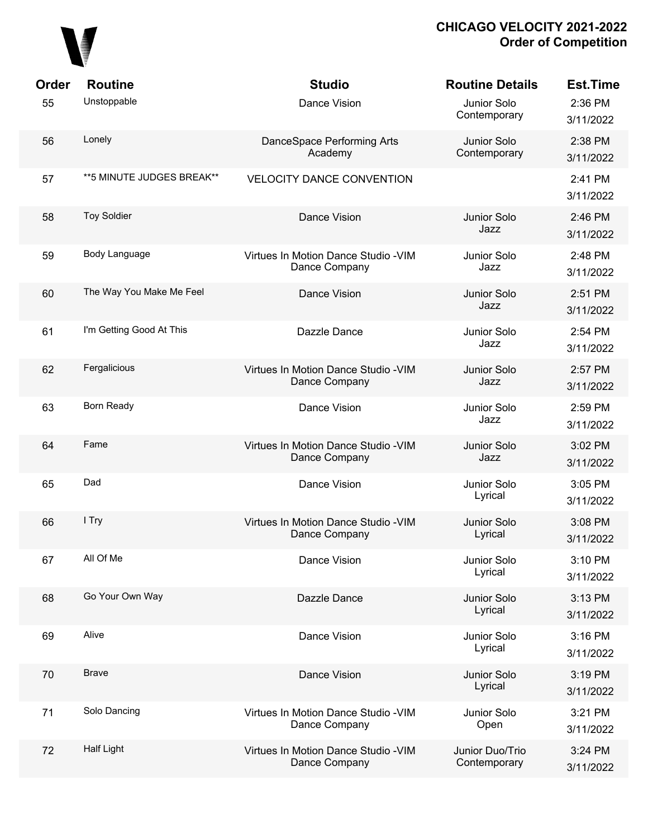

| Order | <b>Routine</b>            | <b>Studio</b>                                         | <b>Routine Details</b>          | <b>Est.Time</b>      |
|-------|---------------------------|-------------------------------------------------------|---------------------------------|----------------------|
| 55    | Unstoppable               | Dance Vision                                          | Junior Solo<br>Contemporary     | 2:36 PM<br>3/11/2022 |
| 56    | Lonely                    | DanceSpace Performing Arts<br>Academy                 | Junior Solo<br>Contemporary     | 2:38 PM<br>3/11/2022 |
| 57    | **5 MINUTE JUDGES BREAK** | <b>VELOCITY DANCE CONVENTION</b>                      |                                 | 2:41 PM<br>3/11/2022 |
| 58    | <b>Toy Soldier</b>        | Dance Vision                                          | Junior Solo<br>Jazz             | 2:46 PM<br>3/11/2022 |
| 59    | Body Language             | Virtues In Motion Dance Studio - VIM<br>Dance Company | Junior Solo<br>Jazz             | 2:48 PM<br>3/11/2022 |
| 60    | The Way You Make Me Feel  | Dance Vision                                          | Junior Solo<br>Jazz             | 2:51 PM<br>3/11/2022 |
| 61    | I'm Getting Good At This  | Dazzle Dance                                          | Junior Solo<br>Jazz             | 2:54 PM<br>3/11/2022 |
| 62    | Fergalicious              | Virtues In Motion Dance Studio - VIM<br>Dance Company | Junior Solo<br>Jazz             | 2:57 PM<br>3/11/2022 |
| 63    | Born Ready                | Dance Vision                                          | Junior Solo<br>Jazz             | 2:59 PM<br>3/11/2022 |
| 64    | Fame                      | Virtues In Motion Dance Studio - VIM<br>Dance Company | Junior Solo<br>Jazz             | 3:02 PM<br>3/11/2022 |
| 65    | Dad                       | Dance Vision                                          | Junior Solo<br>Lyrical          | 3:05 PM<br>3/11/2022 |
| 66    | I Try                     | Virtues In Motion Dance Studio - VIM<br>Dance Company | Junior Solo<br>Lyrical          | 3:08 PM<br>3/11/2022 |
| 67    | All Of Me                 | Dance Vision                                          | Junior Solo<br>Lyrical          | 3:10 PM<br>3/11/2022 |
| 68    | Go Your Own Way           | Dazzle Dance                                          | Junior Solo<br>Lyrical          | 3:13 PM<br>3/11/2022 |
| 69    | Alive                     | Dance Vision                                          | Junior Solo<br>Lyrical          | 3:16 PM<br>3/11/2022 |
| 70    | <b>Brave</b>              | Dance Vision                                          | Junior Solo<br>Lyrical          | 3:19 PM<br>3/11/2022 |
| 71    | Solo Dancing              | Virtues In Motion Dance Studio - VIM<br>Dance Company | Junior Solo<br>Open             | 3:21 PM<br>3/11/2022 |
| 72    | <b>Half Light</b>         | Virtues In Motion Dance Studio - VIM<br>Dance Company | Junior Duo/Trio<br>Contemporary | 3:24 PM<br>3/11/2022 |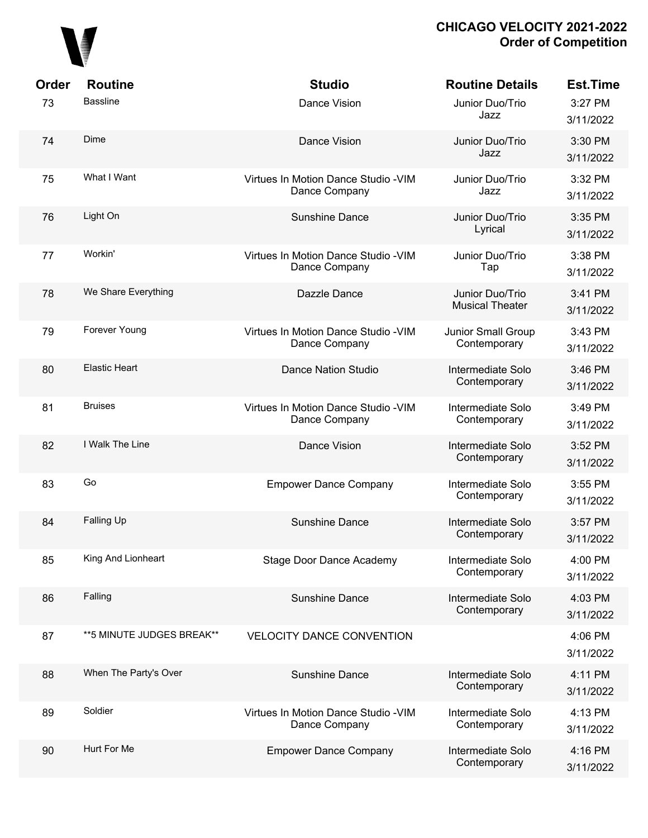

| Order | <b>Routine</b>            | <b>Studio</b>                                         | <b>Routine Details</b>                    | <b>Est.Time</b>      |
|-------|---------------------------|-------------------------------------------------------|-------------------------------------------|----------------------|
| 73    | <b>Bassline</b>           | Dance Vision                                          | Junior Duo/Trio<br>Jazz                   | 3:27 PM<br>3/11/2022 |
| 74    | Dime                      | Dance Vision                                          | Junior Duo/Trio<br>Jazz                   | 3:30 PM<br>3/11/2022 |
| 75    | What I Want               | Virtues In Motion Dance Studio - VIM<br>Dance Company | Junior Duo/Trio<br>Jazz                   | 3:32 PM<br>3/11/2022 |
| 76    | Light On                  | <b>Sunshine Dance</b>                                 | Junior Duo/Trio<br>Lyrical                | 3:35 PM<br>3/11/2022 |
| 77    | Workin'                   | Virtues In Motion Dance Studio - VIM<br>Dance Company | Junior Duo/Trio<br>Tap                    | 3:38 PM<br>3/11/2022 |
| 78    | We Share Everything       | Dazzle Dance                                          | Junior Duo/Trio<br><b>Musical Theater</b> | 3:41 PM<br>3/11/2022 |
| 79    | Forever Young             | Virtues In Motion Dance Studio - VIM<br>Dance Company | Junior Small Group<br>Contemporary        | 3:43 PM<br>3/11/2022 |
| 80    | <b>Elastic Heart</b>      | <b>Dance Nation Studio</b>                            | Intermediate Solo<br>Contemporary         | 3:46 PM<br>3/11/2022 |
| 81    | <b>Bruises</b>            | Virtues In Motion Dance Studio - VIM<br>Dance Company | Intermediate Solo<br>Contemporary         | 3:49 PM<br>3/11/2022 |
| 82    | I Walk The Line           | Dance Vision                                          | Intermediate Solo<br>Contemporary         | 3:52 PM<br>3/11/2022 |
| 83    | Go                        | <b>Empower Dance Company</b>                          | Intermediate Solo<br>Contemporary         | 3:55 PM<br>3/11/2022 |
| 84    | Falling Up                | <b>Sunshine Dance</b>                                 | Intermediate Solo<br>Contemporary         | 3:57 PM<br>3/11/2022 |
| 85    | King And Lionheart        | <b>Stage Door Dance Academy</b>                       | Intermediate Solo<br>Contemporary         | 4:00 PM<br>3/11/2022 |
| 86    | Falling                   | <b>Sunshine Dance</b>                                 | Intermediate Solo<br>Contemporary         | 4:03 PM<br>3/11/2022 |
| 87    | **5 MINUTE JUDGES BREAK** | <b>VELOCITY DANCE CONVENTION</b>                      |                                           | 4:06 PM<br>3/11/2022 |
| 88    | When The Party's Over     | <b>Sunshine Dance</b>                                 | Intermediate Solo<br>Contemporary         | 4:11 PM<br>3/11/2022 |
| 89    | Soldier                   | Virtues In Motion Dance Studio - VIM<br>Dance Company | Intermediate Solo<br>Contemporary         | 4:13 PM<br>3/11/2022 |
| 90    | Hurt For Me               | <b>Empower Dance Company</b>                          | Intermediate Solo<br>Contemporary         | 4:16 PM<br>3/11/2022 |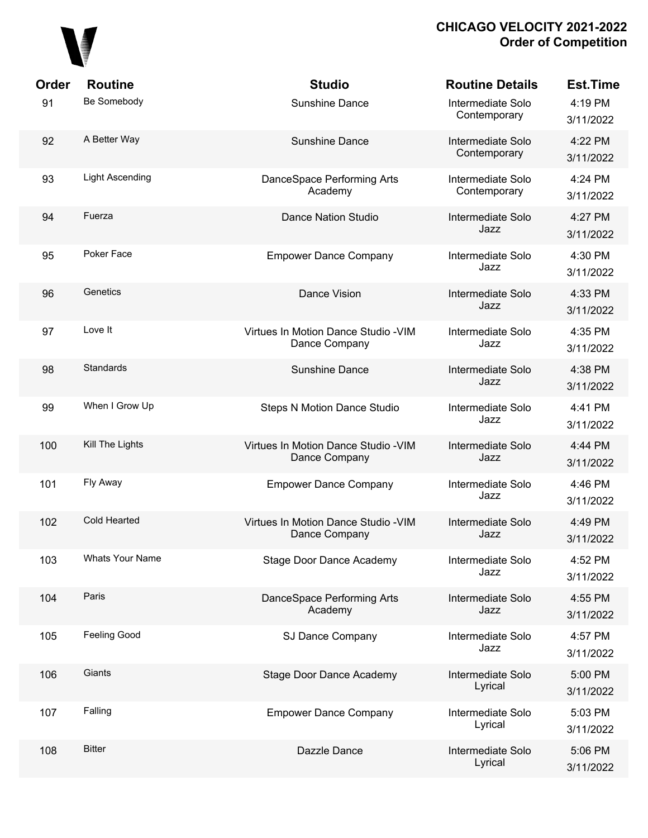

| Order | <b>Routine</b>         | <b>Studio</b>                                         | <b>Routine Details</b>            | <b>Est.Time</b>      |
|-------|------------------------|-------------------------------------------------------|-----------------------------------|----------------------|
| 91    | Be Somebody            | Sunshine Dance                                        | Intermediate Solo<br>Contemporary | 4:19 PM<br>3/11/2022 |
| 92    | A Better Way           | <b>Sunshine Dance</b>                                 | Intermediate Solo<br>Contemporary | 4:22 PM<br>3/11/2022 |
| 93    | <b>Light Ascending</b> | DanceSpace Performing Arts<br>Academy                 | Intermediate Solo<br>Contemporary | 4:24 PM<br>3/11/2022 |
| 94    | Fuerza                 | <b>Dance Nation Studio</b>                            | Intermediate Solo<br>Jazz         | 4:27 PM<br>3/11/2022 |
| 95    | Poker Face             | <b>Empower Dance Company</b>                          | Intermediate Solo<br>Jazz         | 4:30 PM<br>3/11/2022 |
| 96    | Genetics               | Dance Vision                                          | Intermediate Solo<br>Jazz         | 4:33 PM<br>3/11/2022 |
| 97    | Love It                | Virtues In Motion Dance Studio - VIM<br>Dance Company | Intermediate Solo<br>Jazz         | 4:35 PM<br>3/11/2022 |
| 98    | Standards              | Sunshine Dance                                        | Intermediate Solo<br>Jazz         | 4:38 PM<br>3/11/2022 |
| 99    | When I Grow Up         | <b>Steps N Motion Dance Studio</b>                    | Intermediate Solo<br>Jazz         | 4:41 PM<br>3/11/2022 |
| 100   | Kill The Lights        | Virtues In Motion Dance Studio - VIM<br>Dance Company | Intermediate Solo<br>Jazz         | 4:44 PM<br>3/11/2022 |
| 101   | Fly Away               | <b>Empower Dance Company</b>                          | Intermediate Solo<br>Jazz         | 4:46 PM<br>3/11/2022 |
| 102   | <b>Cold Hearted</b>    | Virtues In Motion Dance Studio - VIM<br>Dance Company | Intermediate Solo<br>Jazz         | 4:49 PM<br>3/11/2022 |
| 103   | <b>Whats Your Name</b> | Stage Door Dance Academy                              | Intermediate Solo<br>Jazz         | 4:52 PM<br>3/11/2022 |
| 104   | Paris                  | DanceSpace Performing Arts<br>Academy                 | Intermediate Solo<br>Jazz         | 4:55 PM<br>3/11/2022 |
| 105   | Feeling Good           | SJ Dance Company                                      | Intermediate Solo<br>Jazz         | 4:57 PM<br>3/11/2022 |
| 106   | Giants                 | Stage Door Dance Academy                              | Intermediate Solo<br>Lyrical      | 5:00 PM<br>3/11/2022 |
| 107   | Falling                | <b>Empower Dance Company</b>                          | Intermediate Solo<br>Lyrical      | 5:03 PM<br>3/11/2022 |
| 108   | <b>Bitter</b>          | Dazzle Dance                                          | Intermediate Solo<br>Lyrical      | 5:06 PM<br>3/11/2022 |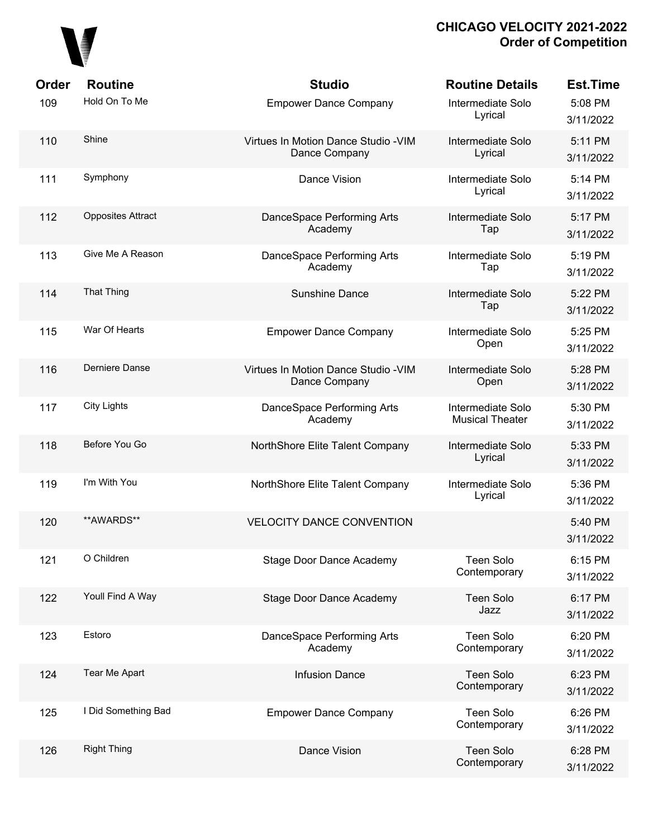

| Order | <b>Routine</b>           | <b>Studio</b>                                         | <b>Routine Details</b>                      | <b>Est.Time</b>      |
|-------|--------------------------|-------------------------------------------------------|---------------------------------------------|----------------------|
| 109   | Hold On To Me            | <b>Empower Dance Company</b>                          | Intermediate Solo<br>Lyrical                | 5:08 PM<br>3/11/2022 |
| 110   | Shine                    | Virtues In Motion Dance Studio - VIM<br>Dance Company | Intermediate Solo<br>Lyrical                | 5:11 PM<br>3/11/2022 |
| 111   | Symphony                 | Dance Vision                                          | Intermediate Solo<br>Lyrical                | 5:14 PM<br>3/11/2022 |
| 112   | <b>Opposites Attract</b> | DanceSpace Performing Arts<br>Academy                 | Intermediate Solo<br>Tap                    | 5:17 PM<br>3/11/2022 |
| 113   | Give Me A Reason         | DanceSpace Performing Arts<br>Academy                 | Intermediate Solo<br>Tap                    | 5:19 PM<br>3/11/2022 |
| 114   | <b>That Thing</b>        | Sunshine Dance                                        | Intermediate Solo<br>Tap                    | 5:22 PM<br>3/11/2022 |
| 115   | War Of Hearts            | <b>Empower Dance Company</b>                          | Intermediate Solo<br>Open                   | 5:25 PM<br>3/11/2022 |
| 116   | Derniere Danse           | Virtues In Motion Dance Studio - VIM<br>Dance Company | Intermediate Solo<br>Open                   | 5:28 PM<br>3/11/2022 |
| 117   | <b>City Lights</b>       | DanceSpace Performing Arts<br>Academy                 | Intermediate Solo<br><b>Musical Theater</b> | 5:30 PM<br>3/11/2022 |
| 118   | Before You Go            | NorthShore Elite Talent Company                       | Intermediate Solo<br>Lyrical                | 5:33 PM<br>3/11/2022 |
| 119   | I'm With You             | NorthShore Elite Talent Company                       | Intermediate Solo<br>Lyrical                | 5:36 PM<br>3/11/2022 |
| 120   | **AWARDS**               | <b>VELOCITY DANCE CONVENTION</b>                      |                                             | 5:40 PM<br>3/11/2022 |
| 121   | O Children               | <b>Stage Door Dance Academy</b>                       | <b>Teen Solo</b><br>Contemporary            | 6:15 PM<br>3/11/2022 |
| 122   | Youll Find A Way         | Stage Door Dance Academy                              | <b>Teen Solo</b><br>Jazz                    | 6:17 PM<br>3/11/2022 |
| 123   | Estoro                   | DanceSpace Performing Arts<br>Academy                 | <b>Teen Solo</b><br>Contemporary            | 6:20 PM<br>3/11/2022 |
| 124   | Tear Me Apart            | <b>Infusion Dance</b>                                 | <b>Teen Solo</b><br>Contemporary            | 6:23 PM<br>3/11/2022 |
| 125   | I Did Something Bad      | <b>Empower Dance Company</b>                          | <b>Teen Solo</b><br>Contemporary            | 6:26 PM<br>3/11/2022 |
| 126   | <b>Right Thing</b>       | Dance Vision                                          | <b>Teen Solo</b><br>Contemporary            | 6:28 PM<br>3/11/2022 |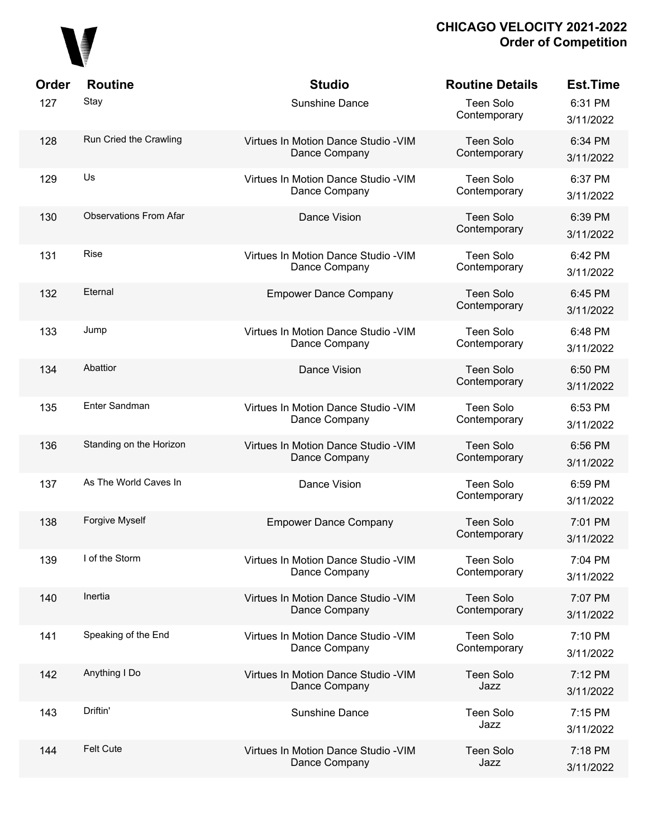

| Order | <b>Routine</b>                | <b>Studio</b>                                         | <b>Routine Details</b>           | <b>Est.Time</b>      |
|-------|-------------------------------|-------------------------------------------------------|----------------------------------|----------------------|
| 127   | Stay                          | Sunshine Dance                                        | <b>Teen Solo</b><br>Contemporary | 6:31 PM<br>3/11/2022 |
| 128   | Run Cried the Crawling        | Virtues In Motion Dance Studio - VIM<br>Dance Company | <b>Teen Solo</b><br>Contemporary | 6:34 PM<br>3/11/2022 |
| 129   | Us                            | Virtues In Motion Dance Studio - VIM<br>Dance Company | <b>Teen Solo</b><br>Contemporary | 6:37 PM<br>3/11/2022 |
| 130   | <b>Observations From Afar</b> | Dance Vision                                          | <b>Teen Solo</b><br>Contemporary | 6:39 PM<br>3/11/2022 |
| 131   | Rise                          | Virtues In Motion Dance Studio - VIM<br>Dance Company | <b>Teen Solo</b><br>Contemporary | 6:42 PM<br>3/11/2022 |
| 132   | Eternal                       | <b>Empower Dance Company</b>                          | <b>Teen Solo</b><br>Contemporary | 6:45 PM<br>3/11/2022 |
| 133   | Jump                          | Virtues In Motion Dance Studio - VIM<br>Dance Company | <b>Teen Solo</b><br>Contemporary | 6:48 PM<br>3/11/2022 |
| 134   | Abattior                      | Dance Vision                                          | <b>Teen Solo</b><br>Contemporary | 6:50 PM<br>3/11/2022 |
| 135   | Enter Sandman                 | Virtues In Motion Dance Studio - VIM<br>Dance Company | <b>Teen Solo</b><br>Contemporary | 6:53 PM<br>3/11/2022 |
| 136   | Standing on the Horizon       | Virtues In Motion Dance Studio - VIM<br>Dance Company | <b>Teen Solo</b><br>Contemporary | 6:56 PM<br>3/11/2022 |
| 137   | As The World Caves In         | Dance Vision                                          | <b>Teen Solo</b><br>Contemporary | 6:59 PM<br>3/11/2022 |
| 138   | Forgive Myself                | <b>Empower Dance Company</b>                          | <b>Teen Solo</b><br>Contemporary | 7:01 PM<br>3/11/2022 |
| 139   | I of the Storm                | Virtues In Motion Dance Studio - VIM<br>Dance Company | <b>Teen Solo</b><br>Contemporary | 7:04 PM<br>3/11/2022 |
| 140   | Inertia                       | Virtues In Motion Dance Studio - VIM<br>Dance Company | <b>Teen Solo</b><br>Contemporary | 7:07 PM<br>3/11/2022 |
| 141   | Speaking of the End           | Virtues In Motion Dance Studio - VIM<br>Dance Company | <b>Teen Solo</b><br>Contemporary | 7:10 PM<br>3/11/2022 |
| 142   | Anything I Do                 | Virtues In Motion Dance Studio - VIM<br>Dance Company | <b>Teen Solo</b><br>Jazz         | 7:12 PM<br>3/11/2022 |
| 143   | Driftin'                      | Sunshine Dance                                        | <b>Teen Solo</b><br>Jazz         | 7:15 PM<br>3/11/2022 |
| 144   | <b>Felt Cute</b>              | Virtues In Motion Dance Studio - VIM<br>Dance Company | <b>Teen Solo</b><br>Jazz         | 7:18 PM<br>3/11/2022 |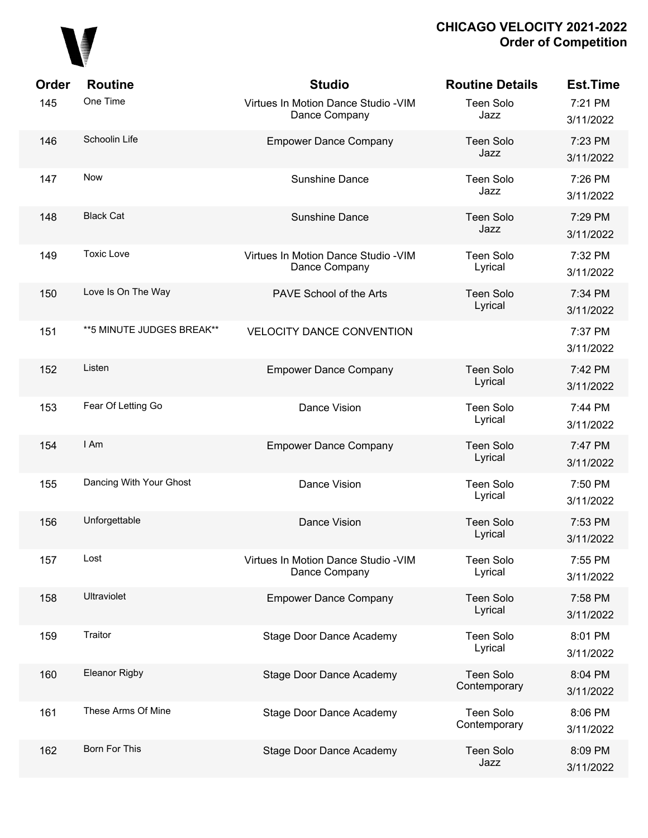

| Order | <b>Routine</b>            | <b>Studio</b>                                         | <b>Routine Details</b>           | <b>Est.Time</b>      |
|-------|---------------------------|-------------------------------------------------------|----------------------------------|----------------------|
| 145   | One Time                  | Virtues In Motion Dance Studio - VIM<br>Dance Company | <b>Teen Solo</b><br>Jazz         | 7:21 PM<br>3/11/2022 |
| 146   | Schoolin Life             | <b>Empower Dance Company</b>                          | <b>Teen Solo</b><br>Jazz         | 7:23 PM<br>3/11/2022 |
| 147   | Now                       | <b>Sunshine Dance</b>                                 | <b>Teen Solo</b><br>Jazz         | 7:26 PM<br>3/11/2022 |
| 148   | <b>Black Cat</b>          | <b>Sunshine Dance</b>                                 | <b>Teen Solo</b><br>Jazz         | 7:29 PM<br>3/11/2022 |
| 149   | <b>Toxic Love</b>         | Virtues In Motion Dance Studio - VIM<br>Dance Company | <b>Teen Solo</b><br>Lyrical      | 7:32 PM<br>3/11/2022 |
| 150   | Love Is On The Way        | PAVE School of the Arts                               | <b>Teen Solo</b><br>Lyrical      | 7:34 PM<br>3/11/2022 |
| 151   | **5 MINUTE JUDGES BREAK** | <b>VELOCITY DANCE CONVENTION</b>                      |                                  | 7:37 PM<br>3/11/2022 |
| 152   | Listen                    | <b>Empower Dance Company</b>                          | <b>Teen Solo</b><br>Lyrical      | 7:42 PM<br>3/11/2022 |
| 153   | Fear Of Letting Go        | Dance Vision                                          | <b>Teen Solo</b><br>Lyrical      | 7:44 PM<br>3/11/2022 |
| 154   | I Am                      | <b>Empower Dance Company</b>                          | <b>Teen Solo</b><br>Lyrical      | 7:47 PM<br>3/11/2022 |
| 155   | Dancing With Your Ghost   | Dance Vision                                          | <b>Teen Solo</b><br>Lyrical      | 7:50 PM<br>3/11/2022 |
| 156   | Unforgettable             | Dance Vision                                          | <b>Teen Solo</b><br>Lyrical      | 7:53 PM<br>3/11/2022 |
| 157   | Lost                      | Virtues In Motion Dance Studio - VIM<br>Dance Company | <b>Teen Solo</b><br>Lyrical      | 7:55 PM<br>3/11/2022 |
| 158   | <b>Ultraviolet</b>        | <b>Empower Dance Company</b>                          | <b>Teen Solo</b><br>Lyrical      | 7:58 PM<br>3/11/2022 |
| 159   | Traitor                   | <b>Stage Door Dance Academy</b>                       | <b>Teen Solo</b><br>Lyrical      | 8:01 PM<br>3/11/2022 |
| 160   | Eleanor Rigby             | Stage Door Dance Academy                              | <b>Teen Solo</b><br>Contemporary | 8:04 PM<br>3/11/2022 |
| 161   | These Arms Of Mine        | Stage Door Dance Academy                              | <b>Teen Solo</b><br>Contemporary | 8:06 PM<br>3/11/2022 |
| 162   | Born For This             | <b>Stage Door Dance Academy</b>                       | <b>Teen Solo</b><br>Jazz         | 8:09 PM<br>3/11/2022 |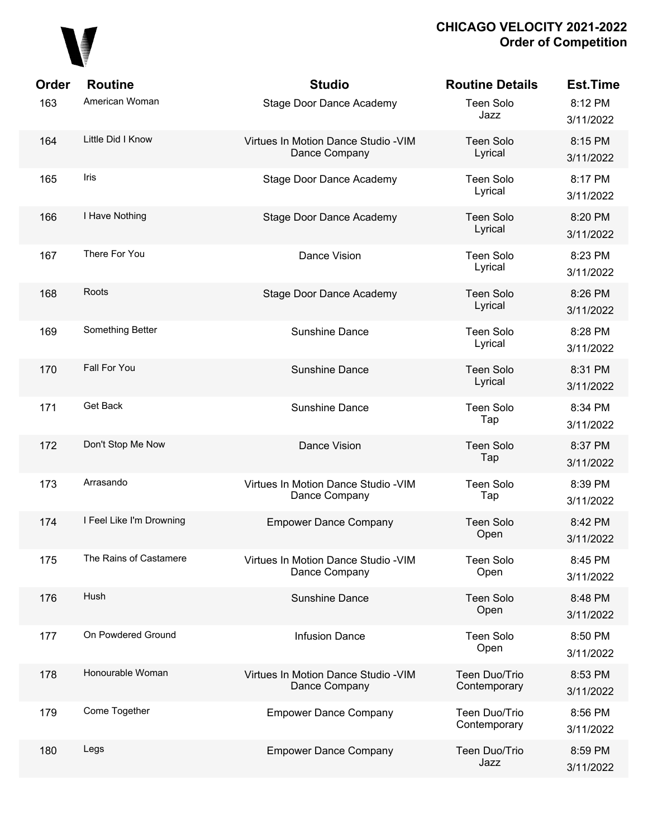

| Order<br>163 | <b>Routine</b><br>American Woman | <b>Studio</b><br><b>Stage Door Dance Academy</b>      | <b>Routine Details</b><br><b>Teen Solo</b><br>Jazz | <b>Est.Time</b><br>8:12 PM<br>3/11/2022 |
|--------------|----------------------------------|-------------------------------------------------------|----------------------------------------------------|-----------------------------------------|
| 164          | Little Did I Know                | Virtues In Motion Dance Studio - VIM<br>Dance Company | <b>Teen Solo</b><br>Lyrical                        | 8:15 PM<br>3/11/2022                    |
| 165          | <b>Iris</b>                      | <b>Stage Door Dance Academy</b>                       | <b>Teen Solo</b><br>Lyrical                        | 8:17 PM<br>3/11/2022                    |
| 166          | I Have Nothing                   | Stage Door Dance Academy                              | <b>Teen Solo</b><br>Lyrical                        | 8:20 PM<br>3/11/2022                    |
| 167          | There For You                    | Dance Vision                                          | <b>Teen Solo</b><br>Lyrical                        | 8:23 PM<br>3/11/2022                    |
| 168          | Roots                            | <b>Stage Door Dance Academy</b>                       | <b>Teen Solo</b><br>Lyrical                        | 8:26 PM<br>3/11/2022                    |
| 169          | Something Better                 | Sunshine Dance                                        | <b>Teen Solo</b><br>Lyrical                        | 8:28 PM<br>3/11/2022                    |
| 170          | Fall For You                     | Sunshine Dance                                        | <b>Teen Solo</b><br>Lyrical                        | 8:31 PM<br>3/11/2022                    |
| 171          | Get Back                         | Sunshine Dance                                        | <b>Teen Solo</b><br>Tap                            | 8:34 PM<br>3/11/2022                    |
| 172          | Don't Stop Me Now                | Dance Vision                                          | <b>Teen Solo</b><br>Tap                            | 8:37 PM<br>3/11/2022                    |
| 173          | Arrasando                        | Virtues In Motion Dance Studio - VIM<br>Dance Company | <b>Teen Solo</b><br>Tap                            | 8:39 PM<br>3/11/2022                    |
| 174          | I Feel Like I'm Drowning         | <b>Empower Dance Company</b>                          | <b>Teen Solo</b><br>Open                           | 8:42 PM<br>3/11/2022                    |
| 175          | The Rains of Castamere           | Virtues In Motion Dance Studio - VIM<br>Dance Company | <b>Teen Solo</b><br>Open                           | 8:45 PM<br>3/11/2022                    |
| 176          | Hush                             | Sunshine Dance                                        | <b>Teen Solo</b><br>Open                           | 8:48 PM<br>3/11/2022                    |
| 177          | On Powdered Ground               | <b>Infusion Dance</b>                                 | <b>Teen Solo</b><br>Open                           | 8:50 PM<br>3/11/2022                    |
| 178          | Honourable Woman                 | Virtues In Motion Dance Studio - VIM<br>Dance Company | Teen Duo/Trio<br>Contemporary                      | 8:53 PM<br>3/11/2022                    |
| 179          | Come Together                    | <b>Empower Dance Company</b>                          | Teen Duo/Trio<br>Contemporary                      | 8:56 PM<br>3/11/2022                    |
| 180          | Legs                             | <b>Empower Dance Company</b>                          | Teen Duo/Trio<br>Jazz                              | 8:59 PM<br>3/11/2022                    |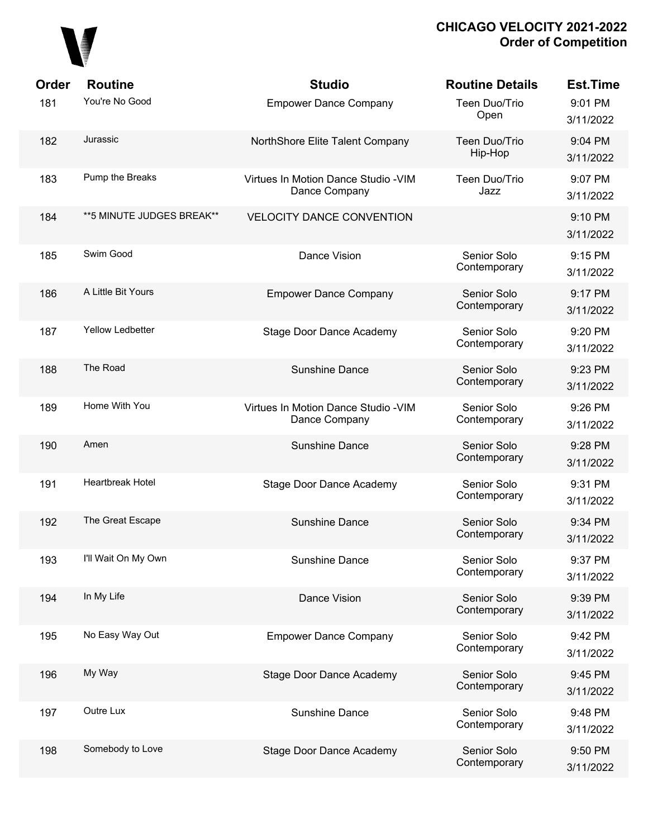

| Order | <b>Routine</b>             | <b>Studio</b>                                         | <b>Routine Details</b>      | <b>Est.Time</b>      |
|-------|----------------------------|-------------------------------------------------------|-----------------------------|----------------------|
| 181   | You're No Good             | <b>Empower Dance Company</b>                          | Teen Duo/Trio<br>Open       | 9:01 PM<br>3/11/2022 |
| 182   | Jurassic                   | NorthShore Elite Talent Company                       | Teen Duo/Trio<br>Hip-Hop    | 9:04 PM<br>3/11/2022 |
| 183   | Pump the Breaks            | Virtues In Motion Dance Studio - VIM<br>Dance Company | Teen Duo/Trio<br>Jazz       | 9:07 PM<br>3/11/2022 |
| 184   | ** 5 MINUTE JUDGES BREAK** | <b>VELOCITY DANCE CONVENTION</b>                      |                             | 9:10 PM<br>3/11/2022 |
| 185   | Swim Good                  | Dance Vision                                          | Senior Solo<br>Contemporary | 9:15 PM<br>3/11/2022 |
| 186   | A Little Bit Yours         | <b>Empower Dance Company</b>                          | Senior Solo<br>Contemporary | 9:17 PM<br>3/11/2022 |
| 187   | <b>Yellow Ledbetter</b>    | <b>Stage Door Dance Academy</b>                       | Senior Solo<br>Contemporary | 9:20 PM<br>3/11/2022 |
| 188   | The Road                   | Sunshine Dance                                        | Senior Solo<br>Contemporary | 9:23 PM<br>3/11/2022 |
| 189   | Home With You              | Virtues In Motion Dance Studio - VIM<br>Dance Company | Senior Solo<br>Contemporary | 9:26 PM<br>3/11/2022 |
| 190   | Amen                       | Sunshine Dance                                        | Senior Solo<br>Contemporary | 9:28 PM<br>3/11/2022 |
| 191   | Heartbreak Hotel           | <b>Stage Door Dance Academy</b>                       | Senior Solo<br>Contemporary | 9:31 PM<br>3/11/2022 |
| 192   | The Great Escape           | <b>Sunshine Dance</b>                                 | Senior Solo<br>Contemporary | 9:34 PM<br>3/11/2022 |
| 193   | I'll Wait On My Own        | Sunshine Dance                                        | Senior Solo<br>Contemporary | 9:37 PM<br>3/11/2022 |
| 194   | In My Life                 | Dance Vision                                          | Senior Solo<br>Contemporary | 9:39 PM<br>3/11/2022 |
| 195   | No Easy Way Out            | <b>Empower Dance Company</b>                          | Senior Solo<br>Contemporary | 9:42 PM<br>3/11/2022 |
| 196   | My Way                     | <b>Stage Door Dance Academy</b>                       | Senior Solo<br>Contemporary | 9:45 PM<br>3/11/2022 |
| 197   | Outre Lux                  | Sunshine Dance                                        | Senior Solo<br>Contemporary | 9:48 PM<br>3/11/2022 |
| 198   | Somebody to Love           | <b>Stage Door Dance Academy</b>                       | Senior Solo<br>Contemporary | 9:50 PM<br>3/11/2022 |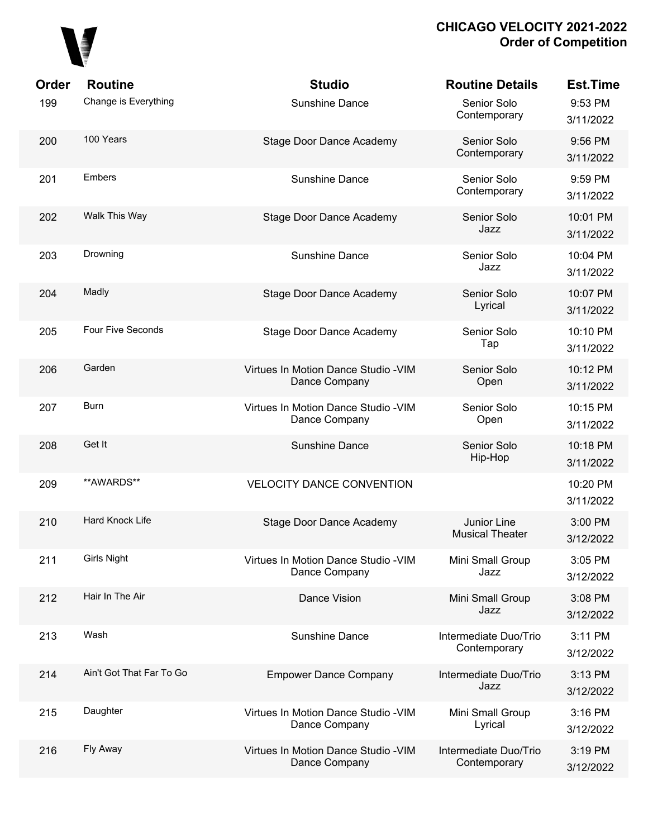

| Order | <b>Routine</b>           | <b>Studio</b>                                         | <b>Routine Details</b>                | <b>Est.Time</b>       |
|-------|--------------------------|-------------------------------------------------------|---------------------------------------|-----------------------|
| 199   | Change is Everything     | <b>Sunshine Dance</b>                                 | Senior Solo<br>Contemporary           | 9:53 PM<br>3/11/2022  |
| 200   | 100 Years                | <b>Stage Door Dance Academy</b>                       | Senior Solo<br>Contemporary           | 9:56 PM<br>3/11/2022  |
| 201   | Embers                   | <b>Sunshine Dance</b>                                 | Senior Solo<br>Contemporary           | 9:59 PM<br>3/11/2022  |
| 202   | Walk This Way            | Stage Door Dance Academy                              | Senior Solo<br>Jazz                   | 10:01 PM<br>3/11/2022 |
| 203   | Drowning                 | <b>Sunshine Dance</b>                                 | Senior Solo<br>Jazz                   | 10:04 PM<br>3/11/2022 |
| 204   | Madly                    | Stage Door Dance Academy                              | Senior Solo<br>Lyrical                | 10:07 PM<br>3/11/2022 |
| 205   | Four Five Seconds        | <b>Stage Door Dance Academy</b>                       | Senior Solo<br>Tap                    | 10:10 PM<br>3/11/2022 |
| 206   | Garden                   | Virtues In Motion Dance Studio - VIM<br>Dance Company | Senior Solo<br>Open                   | 10:12 PM<br>3/11/2022 |
| 207   | <b>Burn</b>              | Virtues In Motion Dance Studio - VIM<br>Dance Company | Senior Solo<br>Open                   | 10:15 PM<br>3/11/2022 |
| 208   | Get It                   | <b>Sunshine Dance</b>                                 | Senior Solo<br>Hip-Hop                | 10:18 PM<br>3/11/2022 |
| 209   | **AWARDS**               | <b>VELOCITY DANCE CONVENTION</b>                      |                                       | 10:20 PM<br>3/11/2022 |
| 210   | Hard Knock Life          | Stage Door Dance Academy                              | Junior Line<br><b>Musical Theater</b> | 3:00 PM<br>3/12/2022  |
| 211   | <b>Girls Night</b>       | Virtues In Motion Dance Studio - VIM<br>Dance Company | Mini Small Group<br>Jazz              | 3:05 PM<br>3/12/2022  |
| 212   | Hair In The Air          | Dance Vision                                          | Mini Small Group<br>Jazz              | 3:08 PM<br>3/12/2022  |
| 213   | Wash                     | <b>Sunshine Dance</b>                                 | Intermediate Duo/Trio<br>Contemporary | 3:11 PM<br>3/12/2022  |
| 214   | Ain't Got That Far To Go | <b>Empower Dance Company</b>                          | Intermediate Duo/Trio<br>Jazz         | 3:13 PM<br>3/12/2022  |
| 215   | Daughter                 | Virtues In Motion Dance Studio - VIM<br>Dance Company | Mini Small Group<br>Lyrical           | 3:16 PM<br>3/12/2022  |
| 216   | Fly Away                 | Virtues In Motion Dance Studio - VIM<br>Dance Company | Intermediate Duo/Trio<br>Contemporary | 3:19 PM<br>3/12/2022  |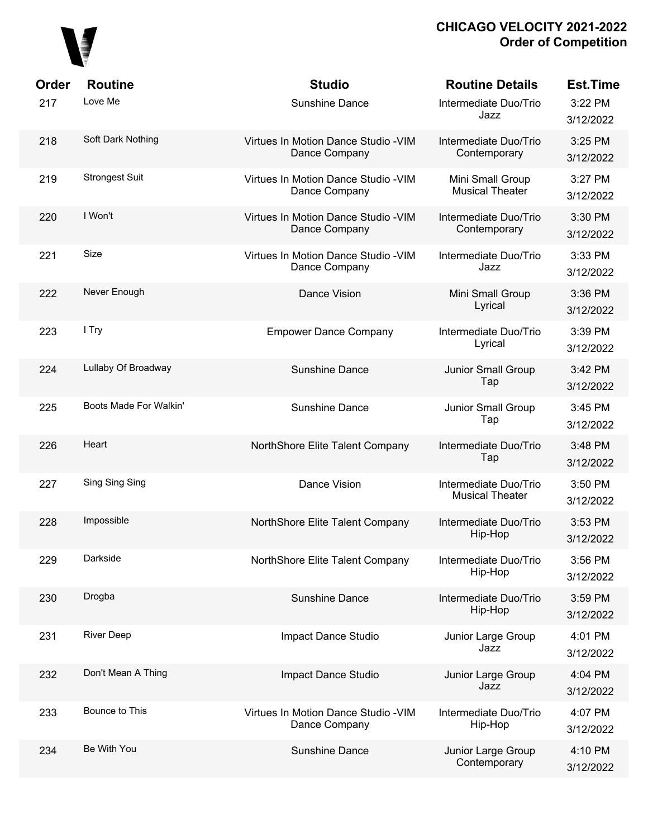

| Order<br>217 | <b>Routine</b><br>Love Me | <b>Studio</b><br><b>Sunshine Dance</b>                | <b>Routine Details</b><br>Intermediate Duo/Trio<br>Jazz | <b>Est.Time</b><br>3:22 PM<br>3/12/2022 |
|--------------|---------------------------|-------------------------------------------------------|---------------------------------------------------------|-----------------------------------------|
| 218          | Soft Dark Nothing         | Virtues In Motion Dance Studio - VIM<br>Dance Company | Intermediate Duo/Trio<br>Contemporary                   | 3:25 PM<br>3/12/2022                    |
| 219          | <b>Strongest Suit</b>     | Virtues In Motion Dance Studio - VIM<br>Dance Company | Mini Small Group<br><b>Musical Theater</b>              | 3:27 PM<br>3/12/2022                    |
| 220          | I Won't                   | Virtues In Motion Dance Studio - VIM<br>Dance Company | Intermediate Duo/Trio<br>Contemporary                   | 3:30 PM<br>3/12/2022                    |
| 221          | Size                      | Virtues In Motion Dance Studio - VIM<br>Dance Company | Intermediate Duo/Trio<br>Jazz                           | 3:33 PM<br>3/12/2022                    |
| 222          | Never Enough              | Dance Vision                                          | Mini Small Group<br>Lyrical                             | 3:36 PM<br>3/12/2022                    |
| 223          | I Try                     | <b>Empower Dance Company</b>                          | Intermediate Duo/Trio<br>Lyrical                        | 3:39 PM<br>3/12/2022                    |
| 224          | Lullaby Of Broadway       | <b>Sunshine Dance</b>                                 | Junior Small Group<br>Tap                               | 3:42 PM<br>3/12/2022                    |
| 225          | Boots Made For Walkin'    | <b>Sunshine Dance</b>                                 | Junior Small Group<br>Tap                               | 3:45 PM<br>3/12/2022                    |
| 226          | Heart                     | NorthShore Elite Talent Company                       | Intermediate Duo/Trio<br>Tap                            | 3:48 PM<br>3/12/2022                    |
| 227          | Sing Sing Sing            | Dance Vision                                          | Intermediate Duo/Trio<br><b>Musical Theater</b>         | 3:50 PM<br>3/12/2022                    |
| 228          | Impossible                | NorthShore Elite Talent Company                       | Intermediate Duo/Trio<br>Hip-Hop                        | 3:53 PM<br>3/12/2022                    |
| 229          | Darkside                  | NorthShore Elite Talent Company                       | Intermediate Duo/Trio<br>Hip-Hop                        | 3:56 PM<br>3/12/2022                    |
| 230          | Drogba                    | Sunshine Dance                                        | Intermediate Duo/Trio<br>Hip-Hop                        | 3:59 PM<br>3/12/2022                    |
| 231          | <b>River Deep</b>         | Impact Dance Studio                                   | Junior Large Group<br>Jazz                              | 4:01 PM<br>3/12/2022                    |
| 232          | Don't Mean A Thing        | Impact Dance Studio                                   | Junior Large Group<br>Jazz                              | 4:04 PM<br>3/12/2022                    |
| 233          | Bounce to This            | Virtues In Motion Dance Studio - VIM<br>Dance Company | Intermediate Duo/Trio<br>Hip-Hop                        | 4:07 PM<br>3/12/2022                    |
| 234          | Be With You               | <b>Sunshine Dance</b>                                 | Junior Large Group<br>Contemporary                      | 4:10 PM<br>3/12/2022                    |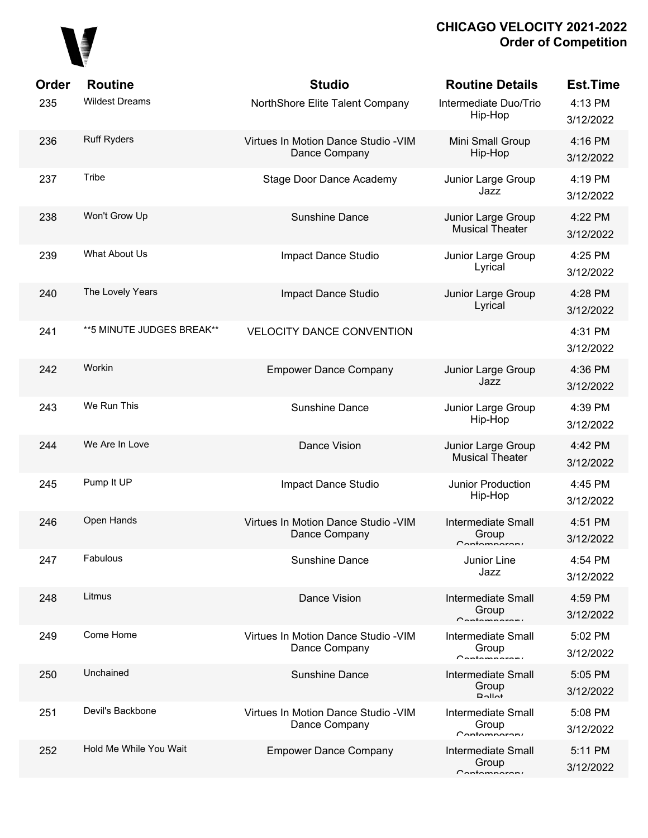

| Order | <b>Routine</b>            | <b>Studio</b>                                         | <b>Routine Details</b>                              | <b>Est.Time</b>      |
|-------|---------------------------|-------------------------------------------------------|-----------------------------------------------------|----------------------|
| 235   | <b>Wildest Dreams</b>     | NorthShore Elite Talent Company                       | Intermediate Duo/Trio<br>Hip-Hop                    | 4:13 PM<br>3/12/2022 |
| 236   | <b>Ruff Ryders</b>        | Virtues In Motion Dance Studio - VIM<br>Dance Company | Mini Small Group<br>Hip-Hop                         | 4:16 PM<br>3/12/2022 |
| 237   | Tribe                     | Stage Door Dance Academy                              | Junior Large Group<br>Jazz                          | 4:19 PM<br>3/12/2022 |
| 238   | Won't Grow Up             | Sunshine Dance                                        | Junior Large Group<br><b>Musical Theater</b>        | 4:22 PM<br>3/12/2022 |
| 239   | What About Us             | Impact Dance Studio                                   | Junior Large Group<br>Lyrical                       | 4:25 PM<br>3/12/2022 |
| 240   | The Lovely Years          | Impact Dance Studio                                   | Junior Large Group<br>Lyrical                       | 4:28 PM<br>3/12/2022 |
| 241   | **5 MINUTE JUDGES BREAK** | <b>VELOCITY DANCE CONVENTION</b>                      |                                                     | 4:31 PM<br>3/12/2022 |
| 242   | Workin                    | <b>Empower Dance Company</b>                          | Junior Large Group<br>Jazz                          | 4:36 PM<br>3/12/2022 |
| 243   | We Run This               | Sunshine Dance                                        | Junior Large Group<br>Hip-Hop                       | 4:39 PM<br>3/12/2022 |
| 244   | We Are In Love            | Dance Vision                                          | Junior Large Group<br><b>Musical Theater</b>        | 4:42 PM<br>3/12/2022 |
| 245   | Pump It UP                | Impact Dance Studio                                   | Junior Production<br>Hip-Hop                        | 4:45 PM<br>3/12/2022 |
| 246   | Open Hands                | Virtues In Motion Dance Studio - VIM<br>Dance Company | <b>Intermediate Small</b><br>Group<br>Contampararu  | 4:51 PM<br>3/12/2022 |
| 247   | Fabulous                  | <b>Sunshine Dance</b>                                 | Junior Line<br>Jazz                                 | 4:54 PM<br>3/12/2022 |
| 248   | Litmus                    | Dance Vision                                          | <b>Intermediate Small</b><br>Group<br>Contamparary  | 4:59 PM<br>3/12/2022 |
| 249   | Come Home                 | Virtues In Motion Dance Studio - VIM<br>Dance Company | <b>Intermediate Small</b><br>Group<br>Contamparary  | 5:02 PM<br>3/12/2022 |
| 250   | Unchained                 | <b>Sunshine Dance</b>                                 | <b>Intermediate Small</b><br>Group<br>$D$ $Al$ $Al$ | 5:05 PM<br>3/12/2022 |
| 251   | Devil's Backbone          | Virtues In Motion Dance Studio - VIM<br>Dance Company | <b>Intermediate Small</b><br>Group<br>Contamparary  | 5:08 PM<br>3/12/2022 |
| 252   | Hold Me While You Wait    | <b>Empower Dance Company</b>                          | <b>Intermediate Small</b><br>Group<br>Contamparary  | 5:11 PM<br>3/12/2022 |
|       |                           |                                                       |                                                     |                      |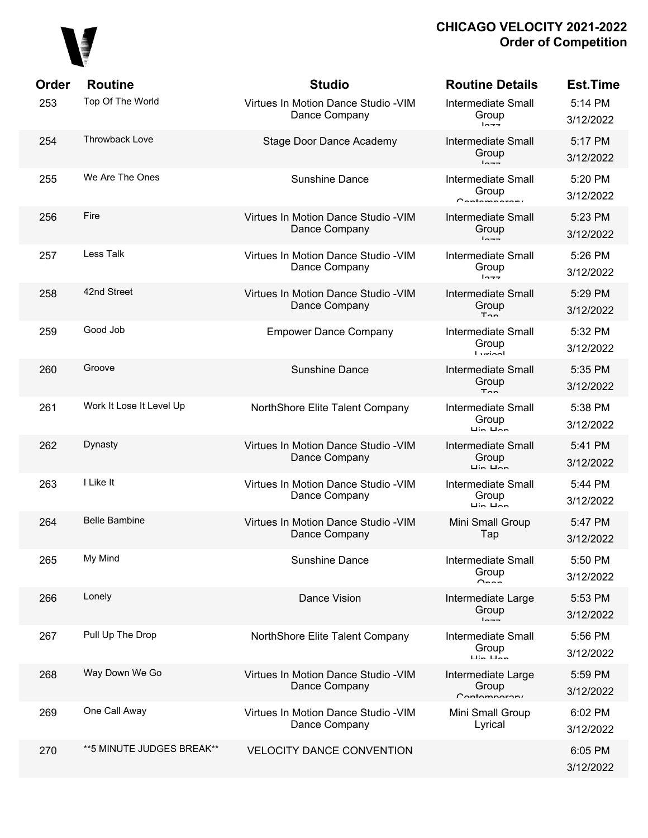

| <b>Order</b> | <b>Routine</b>            | <b>Studio</b>                                         | <b>Routine Details</b>                                                    | <b>Est.Time</b>      |
|--------------|---------------------------|-------------------------------------------------------|---------------------------------------------------------------------------|----------------------|
| 253          | Top Of The World          | Virtues In Motion Dance Studio - VIM<br>Dance Company | <b>Intermediate Small</b><br>Group<br>$ln -1$                             | 5:14 PM<br>3/12/2022 |
| 254          | <b>Throwback Love</b>     | <b>Stage Door Dance Academy</b>                       | <b>Intermediate Small</b><br>Group<br>$ln - -$                            | 5:17 PM<br>3/12/2022 |
| 255          | We Are The Ones           | <b>Sunshine Dance</b>                                 | <b>Intermediate Small</b><br>Group<br>Contampararu                        | 5:20 PM<br>3/12/2022 |
| 256          | Fire                      | Virtues In Motion Dance Studio - VIM<br>Dance Company | <b>Intermediate Small</b><br>Group<br>$ln -1$                             | 5:23 PM<br>3/12/2022 |
| 257          | Less Talk                 | Virtues In Motion Dance Studio - VIM<br>Dance Company | <b>Intermediate Small</b><br>Group<br>$ln - -$                            | 5:26 PM<br>3/12/2022 |
| 258          | 42nd Street               | Virtues In Motion Dance Studio - VIM<br>Dance Company | <b>Intermediate Small</b><br>Group<br>$T_{nn}$                            | 5:29 PM<br>3/12/2022 |
| 259          | Good Job                  | <b>Empower Dance Company</b>                          | <b>Intermediate Small</b><br>Group<br><b>Lurinal</b>                      | 5:32 PM<br>3/12/2022 |
| 260          | Groove                    | <b>Sunshine Dance</b>                                 | <b>Intermediate Small</b><br>Group<br>$T_{\rm{on}}$                       | 5:35 PM<br>3/12/2022 |
| 261          | Work It Lose It Level Up  | NorthShore Elite Talent Company                       | <b>Intermediate Small</b><br>Group<br>$\overline{u}$ in $\overline{u}$ an | 5:38 PM<br>3/12/2022 |
| 262          | Dynasty                   | Virtues In Motion Dance Studio - VIM<br>Dance Company | <b>Intermediate Small</b><br>Group<br>$\overline{u}$ in $\overline{u}$    | 5:41 PM<br>3/12/2022 |
| 263          | I Like It                 | Virtues In Motion Dance Studio - VIM<br>Dance Company | <b>Intermediate Small</b><br>Group<br>$\overline{u}$ in $\overline{u}$ an | 5:44 PM<br>3/12/2022 |
| 264          | <b>Belle Bambine</b>      | Virtues In Motion Dance Studio - VIM<br>Dance Company | Mini Small Group<br>Tap                                                   | 5:47 PM<br>3/12/2022 |
| 265          | My Mind                   | Sunshine Dance                                        | <b>Intermediate Small</b><br>Group<br>$n_{nn}$                            | 5:50 PM<br>3/12/2022 |
| 266          | Lonely                    | Dance Vision                                          | Intermediate Large<br>Group<br>$ln - -$                                   | 5:53 PM<br>3/12/2022 |
| 267          | Pull Up The Drop          | NorthShore Elite Talent Company                       | <b>Intermediate Small</b><br>Group<br>$\overline{u}$ in $\overline{u}$ an | 5:56 PM<br>3/12/2022 |
| 268          | Way Down We Go            | Virtues In Motion Dance Studio - VIM<br>Dance Company | Intermediate Large<br>Group<br>Contamparary                               | 5:59 PM<br>3/12/2022 |
| 269          | One Call Away             | Virtues In Motion Dance Studio - VIM<br>Dance Company | Mini Small Group<br>Lyrical                                               | 6:02 PM<br>3/12/2022 |
| 270          | **5 MINUTE JUDGES BREAK** | <b>VELOCITY DANCE CONVENTION</b>                      |                                                                           | 6:05 PM<br>3/12/2022 |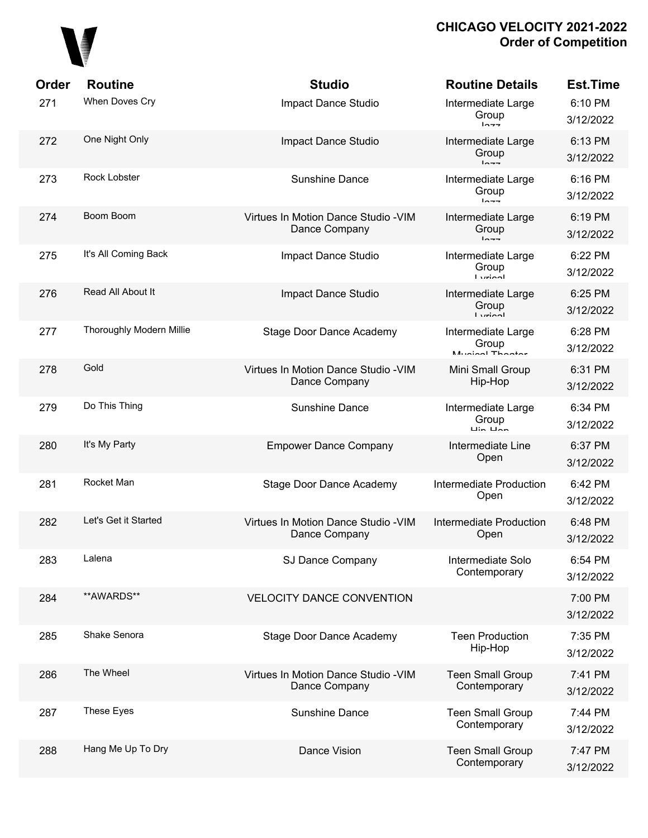

| Order | <b>Routine</b>           | <b>Studio</b>                                         | <b>Routine Details</b>                                          | <b>Est.Time</b>      |
|-------|--------------------------|-------------------------------------------------------|-----------------------------------------------------------------|----------------------|
| 271   | When Doves Cry           | Impact Dance Studio                                   | Intermediate Large<br>Group<br>$ln -$                           | 6:10 PM<br>3/12/2022 |
| 272   | One Night Only           | Impact Dance Studio                                   | Intermediate Large<br>Group<br>$ln - -$                         | 6:13 PM<br>3/12/2022 |
| 273   | Rock Lobster             | <b>Sunshine Dance</b>                                 | Intermediate Large<br>Group<br>$ln - -$                         | 6:16 PM<br>3/12/2022 |
| 274   | Boom Boom                | Virtues In Motion Dance Studio - VIM<br>Dance Company | Intermediate Large<br>Group<br>$ln - -$                         | 6:19 PM<br>3/12/2022 |
| 275   | It's All Coming Back     | Impact Dance Studio                                   | Intermediate Large<br>Group<br><b>Ludon</b>                     | 6:22 PM<br>3/12/2022 |
| 276   | Read All About It        | Impact Dance Studio                                   | Intermediate Large<br>Group<br>$I$ <i>veion</i> l               | 6:25 PM<br>3/12/2022 |
| 277   | Thoroughly Modern Millie | <b>Stage Door Dance Academy</b>                       | Intermediate Large<br>Group<br>Munical Thooter                  | 6:28 PM<br>3/12/2022 |
| 278   | Gold                     | Virtues In Motion Dance Studio - VIM<br>Dance Company | Mini Small Group<br>Hip-Hop                                     | 6:31 PM<br>3/12/2022 |
| 279   | Do This Thing            | <b>Sunshine Dance</b>                                 | Intermediate Large<br>Group<br>$\overline{a}$ in $\overline{a}$ | 6:34 PM<br>3/12/2022 |
| 280   | It's My Party            | <b>Empower Dance Company</b>                          | Intermediate Line<br>Open                                       | 6:37 PM<br>3/12/2022 |
| 281   | Rocket Man               | <b>Stage Door Dance Academy</b>                       | Intermediate Production<br>Open                                 | 6:42 PM<br>3/12/2022 |
| 282   | Let's Get it Started     | Virtues In Motion Dance Studio - VIM<br>Dance Company | Intermediate Production<br>Open                                 | 6:48 PM<br>3/12/2022 |
| 283   | Lalena                   | SJ Dance Company                                      | Intermediate Solo<br>Contemporary                               | 6:54 PM<br>3/12/2022 |
| 284   | **AWARDS**               | <b>VELOCITY DANCE CONVENTION</b>                      |                                                                 | 7:00 PM<br>3/12/2022 |
| 285   | Shake Senora             | <b>Stage Door Dance Academy</b>                       | <b>Teen Production</b><br>Hip-Hop                               | 7:35 PM<br>3/12/2022 |
| 286   | The Wheel                | Virtues In Motion Dance Studio - VIM<br>Dance Company | <b>Teen Small Group</b><br>Contemporary                         | 7:41 PM<br>3/12/2022 |
| 287   | These Eyes               | Sunshine Dance                                        | <b>Teen Small Group</b><br>Contemporary                         | 7:44 PM<br>3/12/2022 |
| 288   | Hang Me Up To Dry        | Dance Vision                                          | <b>Teen Small Group</b><br>Contemporary                         | 7:47 PM<br>3/12/2022 |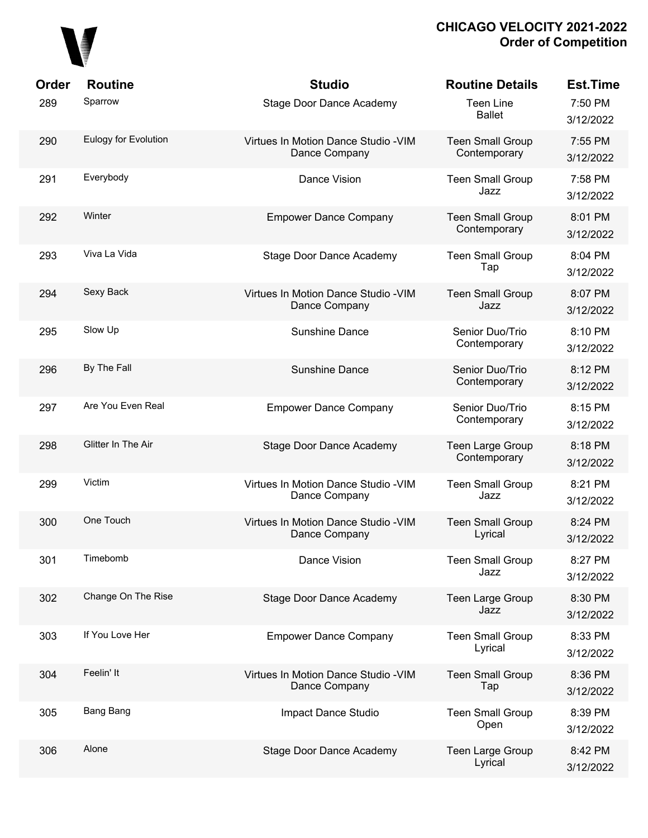

| Order | <b>Routine</b>       | <b>Studio</b>                                         | <b>Routine Details</b>                  | <b>Est.Time</b>      |
|-------|----------------------|-------------------------------------------------------|-----------------------------------------|----------------------|
| 289   | Sparrow              | <b>Stage Door Dance Academy</b>                       | <b>Teen Line</b><br><b>Ballet</b>       | 7:50 PM<br>3/12/2022 |
| 290   | Eulogy for Evolution | Virtues In Motion Dance Studio - VIM<br>Dance Company | <b>Teen Small Group</b><br>Contemporary | 7:55 PM<br>3/12/2022 |
| 291   | Everybody            | Dance Vision                                          | <b>Teen Small Group</b><br>Jazz         | 7:58 PM<br>3/12/2022 |
| 292   | Winter               | <b>Empower Dance Company</b>                          | <b>Teen Small Group</b><br>Contemporary | 8:01 PM<br>3/12/2022 |
| 293   | Viva La Vida         | Stage Door Dance Academy                              | <b>Teen Small Group</b><br>Tap          | 8:04 PM<br>3/12/2022 |
| 294   | Sexy Back            | Virtues In Motion Dance Studio - VIM<br>Dance Company | <b>Teen Small Group</b><br>Jazz         | 8:07 PM<br>3/12/2022 |
| 295   | Slow Up              | <b>Sunshine Dance</b>                                 | Senior Duo/Trio<br>Contemporary         | 8:10 PM<br>3/12/2022 |
| 296   | By The Fall          | <b>Sunshine Dance</b>                                 | Senior Duo/Trio<br>Contemporary         | 8:12 PM<br>3/12/2022 |
| 297   | Are You Even Real    | <b>Empower Dance Company</b>                          | Senior Duo/Trio<br>Contemporary         | 8:15 PM<br>3/12/2022 |
| 298   | Glitter In The Air   | <b>Stage Door Dance Academy</b>                       | Teen Large Group<br>Contemporary        | 8:18 PM<br>3/12/2022 |
| 299   | Victim               | Virtues In Motion Dance Studio - VIM<br>Dance Company | <b>Teen Small Group</b><br>Jazz         | 8:21 PM<br>3/12/2022 |
| 300   | One Touch            | Virtues In Motion Dance Studio - VIM<br>Dance Company | <b>Teen Small Group</b><br>Lyrical      | 8:24 PM<br>3/12/2022 |
| 301   | Timebomb             | Dance Vision                                          | <b>Teen Small Group</b><br>Jazz         | 8:27 PM<br>3/12/2022 |
| 302   | Change On The Rise   | <b>Stage Door Dance Academy</b>                       | Teen Large Group<br>Jazz                | 8:30 PM<br>3/12/2022 |
| 303   | If You Love Her      | <b>Empower Dance Company</b>                          | <b>Teen Small Group</b><br>Lyrical      | 8:33 PM<br>3/12/2022 |
| 304   | Feelin' It           | Virtues In Motion Dance Studio - VIM<br>Dance Company | <b>Teen Small Group</b><br>Tap          | 8:36 PM<br>3/12/2022 |
| 305   | <b>Bang Bang</b>     | Impact Dance Studio                                   | <b>Teen Small Group</b><br>Open         | 8:39 PM<br>3/12/2022 |
| 306   | Alone                | Stage Door Dance Academy                              | Teen Large Group<br>Lyrical             | 8:42 PM<br>3/12/2022 |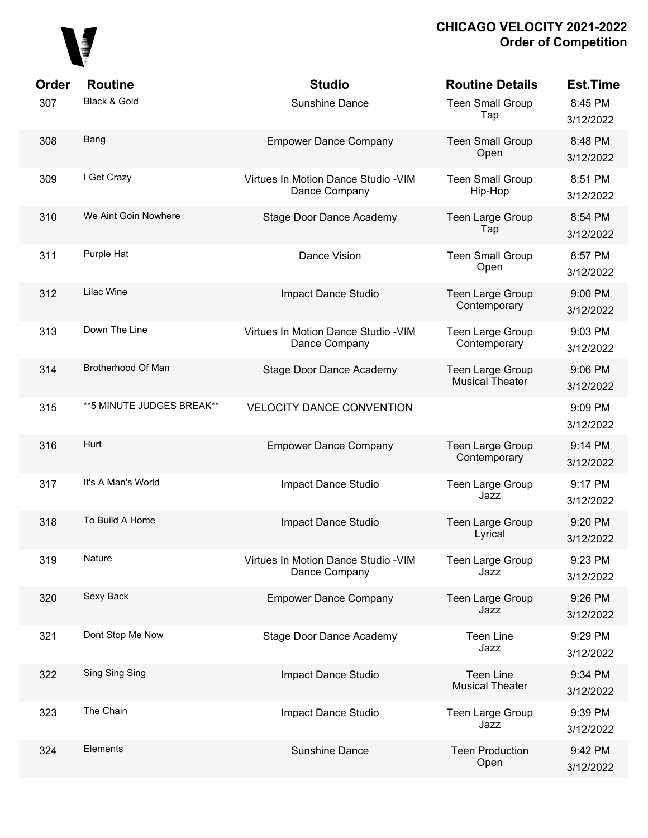

| Order<br>307 | <b>Routine</b><br>Black & Gold | <b>Studio</b><br><b>Sunshine Dance</b>                | <b>Routine Details</b><br><b>Teen Small Group</b><br>Tap | <b>Est.Time</b><br>8:45 PM<br>3/12/2022 |
|--------------|--------------------------------|-------------------------------------------------------|----------------------------------------------------------|-----------------------------------------|
| 308          | Bang                           | <b>Empower Dance Company</b>                          | <b>Teen Small Group</b><br>Open                          | 8:48 PM<br>3/12/2022                    |
| 309          | I Get Crazy                    | Virtues In Motion Dance Studio - VIM<br>Dance Company | <b>Teen Small Group</b><br>Hip-Hop                       | 8:51 PM<br>3/12/2022                    |
| 310          | We Aint Goin Nowhere           | <b>Stage Door Dance Academy</b>                       | <b>Teen Large Group</b><br>Tap                           | 8:54 PM<br>3/12/2022                    |
| 311          | Purple Hat                     | Dance Vision                                          | <b>Teen Small Group</b><br>Open                          | 8:57 PM<br>3/12/2022                    |
| 312          | <b>Lilac Wine</b>              | Impact Dance Studio                                   | <b>Teen Large Group</b><br>Contemporary                  | 9:00 PM<br>3/12/2022                    |
| 313          | Down The Line                  | Virtues In Motion Dance Studio - VIM<br>Dance Company | Teen Large Group<br>Contemporary                         | 9:03 PM<br>3/12/2022                    |
| 314          | Brotherhood Of Man             | <b>Stage Door Dance Academy</b>                       | <b>Teen Large Group</b><br><b>Musical Theater</b>        | 9:06 PM<br>3/12/2022                    |
| 315          | ** 5 MINUTE JUDGES BREAK**     | <b>VELOCITY DANCE CONVENTION</b>                      |                                                          | 9:09 PM<br>3/12/2022                    |
| 316          | Hurt                           | <b>Empower Dance Company</b>                          | <b>Teen Large Group</b><br>Contemporary                  | 9:14 PM<br>3/12/2022                    |
| 317          | It's A Man's World             | Impact Dance Studio                                   | Teen Large Group<br>Jazz                                 | 9:17 PM<br>3/12/2022                    |
| 318          | To Build A Home                | Impact Dance Studio                                   | <b>Teen Large Group</b><br>Lyrical                       | 9:20 PM<br>3/12/2022                    |
| 319          | Nature                         | Virtues In Motion Dance Studio - VIM<br>Dance Company | <b>Teen Large Group</b><br>Jazz                          | 9:23 PM<br>3/12/2022                    |
| 320          | Sexy Back                      | <b>Empower Dance Company</b>                          | Teen Large Group<br>Jazz                                 | 9:26 PM<br>3/12/2022                    |
| 321          | Dont Stop Me Now               | <b>Stage Door Dance Academy</b>                       | <b>Teen Line</b><br>Jazz                                 | 9:29 PM<br>3/12/2022                    |
| 322          | Sing Sing Sing                 | Impact Dance Studio                                   | <b>Teen Line</b><br><b>Musical Theater</b>               | 9:34 PM<br>3/12/2022                    |
| 323          | The Chain                      | Impact Dance Studio                                   | Teen Large Group<br>Jazz                                 | 9:39 PM<br>3/12/2022                    |
| 324          | Elements                       | Sunshine Dance                                        | <b>Teen Production</b><br>Open                           | 9:42 PM<br>3/12/2022                    |